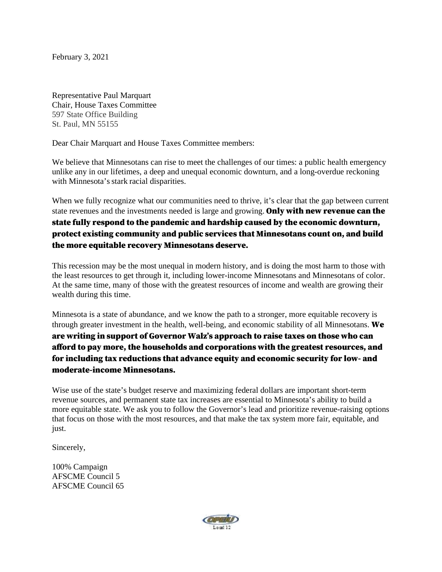February 3, 2021

Representative Paul Marquart Chair, House Taxes Committee 597 State Office Building St. Paul, MN 55155

Dear Chair Marquart and House Taxes Committee members:

We believe that Minnesotans can rise to meet the challenges of our times: a public health emergency unlike any in our lifetimes, a deep and unequal economic downturn, and a long-overdue reckoning with Minnesota's stark racial disparities.

When we fully recognize what our communities need to thrive, it's clear that the gap between current state revenues and the investments needed is large and growing. **Only with new revenue can the** state fully respond to the pandemic and hardship caused by the economic downturn, protect existing community and public services that Minnesotans count on, and build the more equitable recovery Minnesotans deserve.

This recession may be the most unequal in modern history, and is doing the most harm to those with the least resources to get through it, including lower-income Minnesotans and Minnesotans of color. At the same time, many of those with the greatest resources of income and wealth are growing their wealth during this time.

Minnesota is a state of abundance, and we know the path to a stronger, more equitable recovery is through greater investment in the health, well-being, and economic stability of all Minnesotans. We are writing in support of Governor Walz's approach to raise taxes on those who can afford to pay more, the households and corporations with the greatest resources, and for including tax reductions that advance equity and economic security for low- and moderate-income Minnesotans.

Wise use of the state's budget reserve and maximizing federal dollars are important short-term revenue sources, and permanent state tax increases are essential to Minnesota's ability to build a more equitable state. We ask you to follow the Governor's lead and prioritize revenue-raising options that focus on those with the most resources, and that make the tax system more fair, equitable, and just.

Sincerely,

100% Campaign AFSCME Council 5 AFSCME Council 65